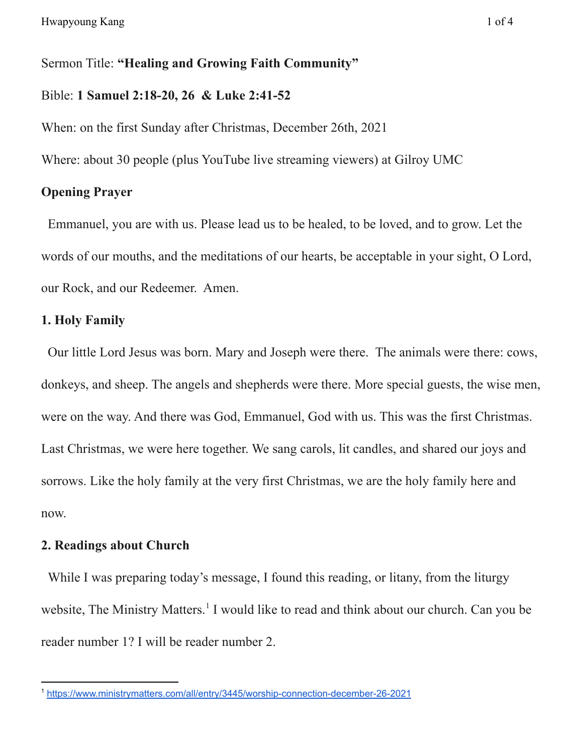#### Sermon Title: **"Healing and Growing Faith Community"**

#### Bible: **1 Samuel 2:18-20, 26 & Luke 2:41-52**

When: on the first Sunday after Christmas, December 26th, 2021

Where: about 30 people (plus YouTube live streaming viewers) at Gilroy UMC

# **Opening Prayer**

Emmanuel, you are with us. Please lead us to be healed, to be loved, and to grow. Let the words of our mouths, and the meditations of our hearts, be acceptable in your sight, O Lord, our Rock, and our Redeemer. Amen.

# **1. Holy Family**

Our little Lord Jesus was born. Mary and Joseph were there. The animals were there: cows, donkeys, and sheep. The angels and shepherds were there. More special guests, the wise men, were on the way. And there was God, Emmanuel, God with us. This was the first Christmas. Last Christmas, we were here together. We sang carols, lit candles, and shared our joys and sorrows. Like the holy family at the very first Christmas, we are the holy family here and now.

#### **2. Readings about Church**

While I was preparing today's message, I found this reading, or litany, from the liturgy website, The Ministry Matters.<sup>1</sup> I would like to read and think about our church. Can you be reader number 1? I will be reader number 2.

<sup>1</sup> <https://www.ministrymatters.com/all/entry/3445/worship-connection-december-26-2021>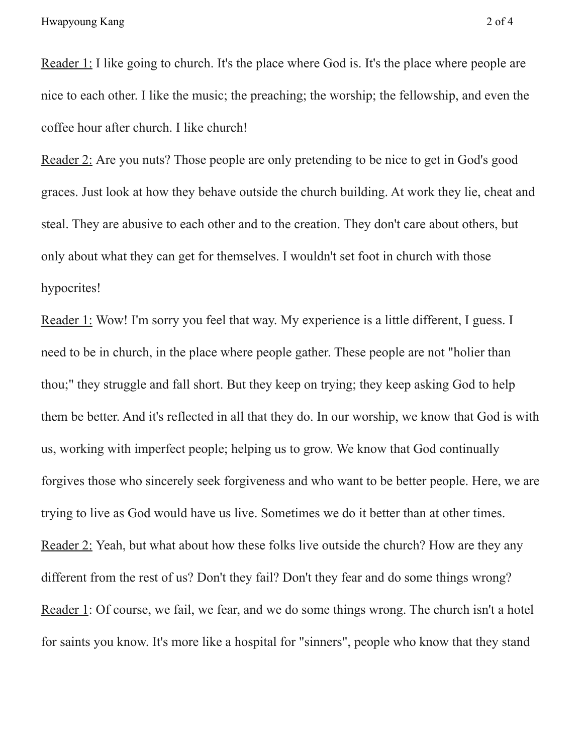Reader 1: I like going to church. It's the place where God is. It's the place where people are nice to each other. I like the music; the preaching; the worship; the fellowship, and even the coffee hour after church. I like church!

Reader 2: Are you nuts? Those people are only pretending to be nice to get in God's good graces. Just look at how they behave outside the church building. At work they lie, cheat and steal. They are abusive to each other and to the creation. They don't care about others, but only about what they can get for themselves. I wouldn't set foot in church with those hypocrites!

Reader 1: Wow! I'm sorry you feel that way. My experience is a little different, I guess. I need to be in church, in the place where people gather. These people are not "holier than thou;" they struggle and fall short. But they keep on trying; they keep asking God to help them be better. And it's reflected in all that they do. In our worship, we know that God is with us, working with imperfect people; helping us to grow. We know that God continually forgives those who sincerely seek forgiveness and who want to be better people. Here, we are trying to live as God would have us live. Sometimes we do it better than at other times. Reader 2: Yeah, but what about how these folks live outside the church? How are they any different from the rest of us? Don't they fail? Don't they fear and do some things wrong? Reader 1: Of course, we fail, we fear, and we do some things wrong. The church isn't a hotel for saints you know. It's more like a hospital for "sinners", people who know that they stand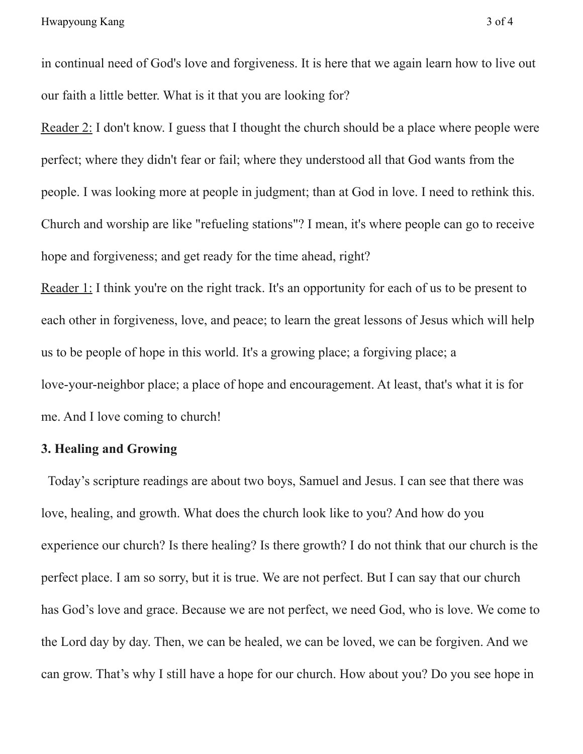in continual need of God's love and forgiveness. It is here that we again learn how to live out our faith a little better. What is it that you are looking for?

Reader 2: I don't know. I guess that I thought the church should be a place where people were perfect; where they didn't fear or fail; where they understood all that God wants from the people. I was looking more at people in judgment; than at God in love. I need to rethink this. Church and worship are like "refueling stations"? I mean, it's where people can go to receive hope and forgiveness; and get ready for the time ahead, right?

Reader 1: I think you're on the right track. It's an opportunity for each of us to be present to each other in forgiveness, love, and peace; to learn the great lessons of Jesus which will help us to be people of hope in this world. It's a growing place; a forgiving place; a love-your-neighbor place; a place of hope and encouragement. At least, that's what it is for me. And I love coming to church!

## **3. Healing and Growing**

Today's scripture readings are about two boys, Samuel and Jesus. I can see that there was love, healing, and growth. What does the church look like to you? And how do you experience our church? Is there healing? Is there growth? I do not think that our church is the perfect place. I am so sorry, but it is true. We are not perfect. But I can say that our church has God's love and grace. Because we are not perfect, we need God, who is love. We come to the Lord day by day. Then, we can be healed, we can be loved, we can be forgiven. And we can grow. That's why I still have a hope for our church. How about you? Do you see hope in